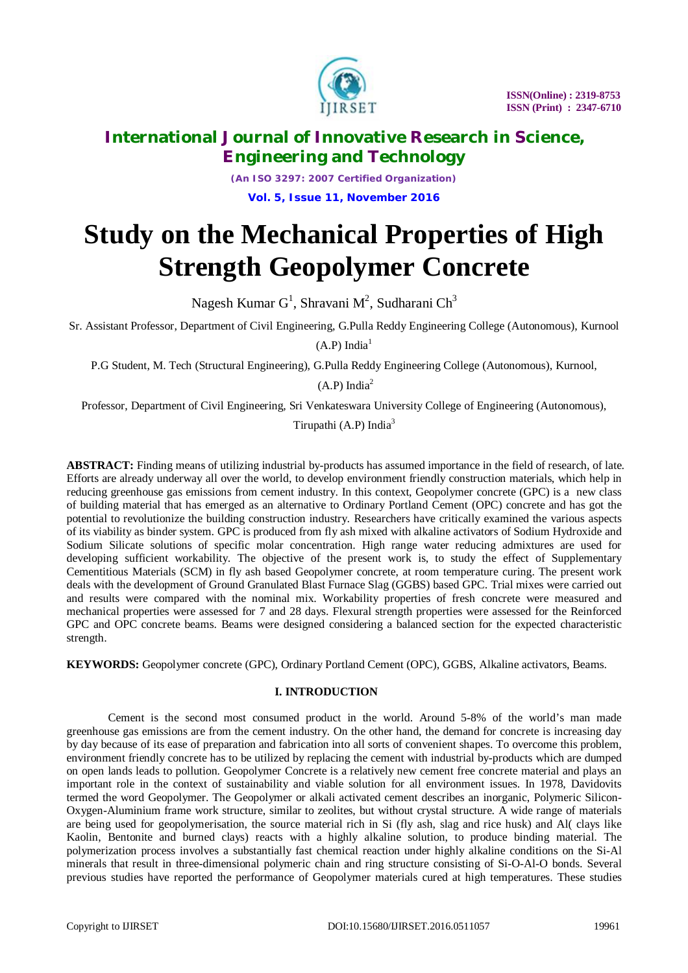

*(An ISO 3297: 2007 Certified Organization)* **Vol. 5, Issue 11, November 2016**

# **Study on the Mechanical Properties of High Strength Geopolymer Concrete**

Nagesh Kumar G<sup>1</sup>, Shravani M<sup>2</sup>, Sudharani Ch<sup>3</sup>

Sr. Assistant Professor, Department of Civil Engineering, G.Pulla Reddy Engineering College (Autonomous), Kurnool

 $(A.P)$  India<sup>1</sup>

P.G Student, M. Tech (Structural Engineering), G.Pulla Reddy Engineering College (Autonomous), Kurnool,

 $(A.P)$  India<sup>2</sup>

Professor, Department of Civil Engineering, Sri Venkateswara University College of Engineering (Autonomous),

Tirupathi  $(A.P)$  India<sup>3</sup>

**ABSTRACT:** Finding means of utilizing industrial by-products has assumed importance in the field of research, of late. Efforts are already underway all over the world, to develop environment friendly construction materials, which help in reducing greenhouse gas emissions from cement industry. In this context, Geopolymer concrete (GPC) is a new class of building material that has emerged as an alternative to Ordinary Portland Cement (OPC) concrete and has got the potential to revolutionize the building construction industry. Researchers have critically examined the various aspects of its viability as binder system. GPC is produced from fly ash mixed with alkaline activators of Sodium Hydroxide and Sodium Silicate solutions of specific molar concentration. High range water reducing admixtures are used for developing sufficient workability. The objective of the present work is, to study the effect of Supplementary Cementitious Materials (SCM) in fly ash based Geopolymer concrete, at room temperature curing. The present work deals with the development of Ground Granulated Blast Furnace Slag (GGBS) based GPC. Trial mixes were carried out and results were compared with the nominal mix. Workability properties of fresh concrete were measured and mechanical properties were assessed for 7 and 28 days. Flexural strength properties were assessed for the Reinforced GPC and OPC concrete beams. Beams were designed considering a balanced section for the expected characteristic strength.

**KEYWORDS:** Geopolymer concrete (GPC), Ordinary Portland Cement (OPC), GGBS, Alkaline activators, Beams.

# **I. INTRODUCTION**

Cement is the second most consumed product in the world. Around 5-8% of the world's man made greenhouse gas emissions are from the cement industry. On the other hand, the demand for concrete is increasing day by day because of its ease of preparation and fabrication into all sorts of convenient shapes. To overcome this problem, environment friendly concrete has to be utilized by replacing the cement with industrial by-products which are dumped on open lands leads to pollution. Geopolymer Concrete is a relatively new cement free concrete material and plays an important role in the context of sustainability and viable solution for all environment issues. In 1978, Davidovits termed the word Geopolymer. The Geopolymer or alkali activated cement describes an inorganic, Polymeric Silicon-Oxygen-Aluminium frame work structure, similar to zeolites, but without crystal structure. A wide range of materials are being used for geopolymerisation, the source material rich in Si (fly ash, slag and rice husk) and Al( clays like Kaolin, Bentonite and burned clays) reacts with a highly alkaline solution, to produce binding material. The polymerization process involves a substantially fast chemical reaction under highly alkaline conditions on the Si-Al minerals that result in three-dimensional polymeric chain and ring structure consisting of Si-O-Al-O bonds. Several previous studies have reported the performance of Geopolymer materials cured at high temperatures. These studies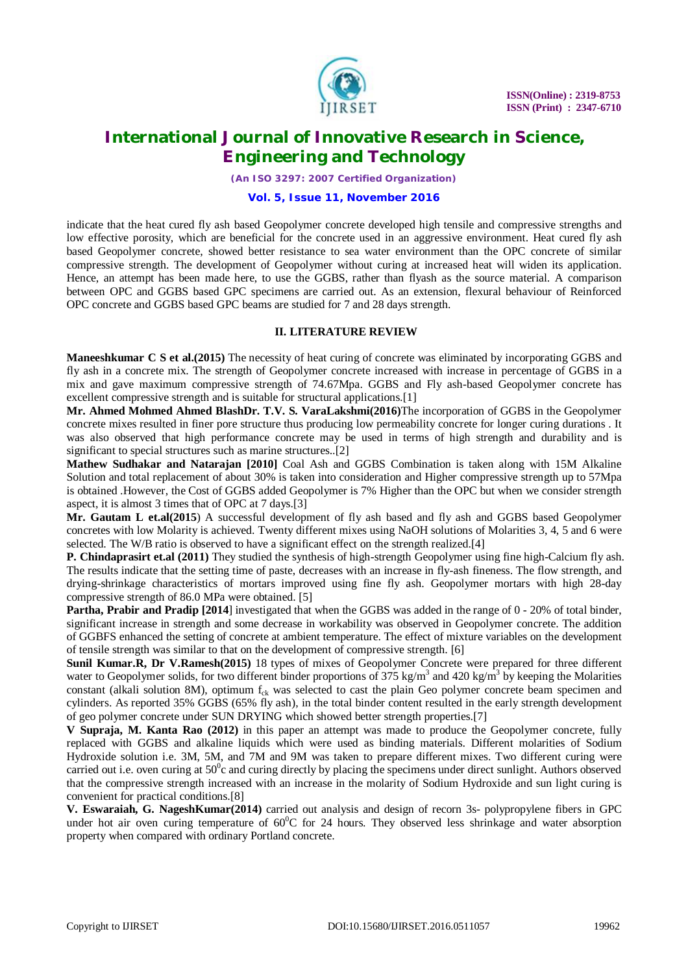

*(An ISO 3297: 2007 Certified Organization)*

#### **Vol. 5, Issue 11, November 2016**

indicate that the heat cured fly ash based Geopolymer concrete developed high tensile and compressive strengths and low effective porosity, which are beneficial for the concrete used in an aggressive environment. Heat cured fly ash based Geopolymer concrete, showed better resistance to sea water environment than the OPC concrete of similar compressive strength. The development of Geopolymer without curing at increased heat will widen its application. Hence, an attempt has been made here, to use the GGBS, rather than flyash as the source material. A comparison between OPC and GGBS based GPC specimens are carried out. As an extension, flexural behaviour of Reinforced OPC concrete and GGBS based GPC beams are studied for 7 and 28 days strength.

#### **II. LITERATURE REVIEW**

**Maneeshkumar C S et al.(2015)** The necessity of heat curing of concrete was eliminated by incorporating GGBS and fly ash in a concrete mix. The strength of Geopolymer concrete increased with increase in percentage of GGBS in a mix and gave maximum compressive strength of 74.67Mpa. GGBS and Fly ash-based Geopolymer concrete has excellent compressive strength and is suitable for structural applications.[1]

**Mr. Ahmed Mohmed Ahmed BlashDr. T.V. S. VaraLakshmi(2016)**The incorporation of GGBS in the Geopolymer concrete mixes resulted in finer pore structure thus producing low permeability concrete for longer curing durations . It was also observed that high performance concrete may be used in terms of high strength and durability and is significant to special structures such as marine structures...[2]

**Mathew Sudhakar and Natarajan [2010]** Coal Ash and GGBS Combination is taken along with 15M Alkaline Solution and total replacement of about 30% is taken into consideration and Higher compressive strength up to 57Mpa is obtained .However, the Cost of GGBS added Geopolymer is 7% Higher than the OPC but when we consider strength aspect, it is almost 3 times that of OPC at 7 days.[3]

**Mr. Gautam L et.al(2015**) A successful development of fly ash based and fly ash and GGBS based Geopolymer concretes with low Molarity is achieved. Twenty different mixes using NaOH solutions of Molarities 3, 4, 5 and 6 were selected. The W/B ratio is observed to have a significant effect on the strength realized.[4]

**P. Chindaprasirt et.al (2011)** They studied the synthesis of high-strength Geopolymer using fine high-Calcium fly ash. The results indicate that the setting time of paste, decreases with an increase in fly-ash fineness. The flow strength, and drying-shrinkage characteristics of mortars improved using fine fly ash. Geopolymer mortars with high 28-day compressive strength of 86.0 MPa were obtained. [5]

**Partha, Prabir and Pradip [2014**] investigated that when the GGBS was added in the range of 0 - 20% of total binder, significant increase in strength and some decrease in workability was observed in Geopolymer concrete. The addition of GGBFS enhanced the setting of concrete at ambient temperature. The effect of mixture variables on the development of tensile strength was similar to that on the development of compressive strength. [6]

**Sunil Kumar.R, Dr V.Ramesh(2015)** 18 types of mixes of Geopolymer Concrete were prepared for three different water to Geopolymer solids, for two different binder proportions of 375 kg/m<sup>3</sup> and 420 kg/m<sup>3</sup> by keeping the Molarities constant (alkali solution 8M), optimum  $f_{ck}$  was selected to cast the plain Geo polymer concrete beam specimen and cylinders. As reported 35% GGBS (65% fly ash), in the total binder content resulted in the early strength development of geo polymer concrete under SUN DRYING which showed better strength properties.[7]

**V Supraja, M. Kanta Rao (2012)** in this paper an attempt was made to produce the Geopolymer concrete, fully replaced with GGBS and alkaline liquids which were used as binding materials. Different molarities of Sodium Hydroxide solution i.e. 3M, 5M, and 7M and 9M was taken to prepare different mixes. Two different curing were carried out i.e. oven curing at  $50^{\circ}$ c and curing directly by placing the specimens under direct sunlight. Authors observed that the compressive strength increased with an increase in the molarity of Sodium Hydroxide and sun light curing is convenient for practical conditions.[8]

**V. Eswaraiah, G. NageshKumar(2014)** carried out analysis and design of recorn 3s- polypropylene fibers in GPC under hot air oven curing temperature of  $60^{\circ}$ C for 24 hours. They observed less shrinkage and water absorption property when compared with ordinary Portland concrete.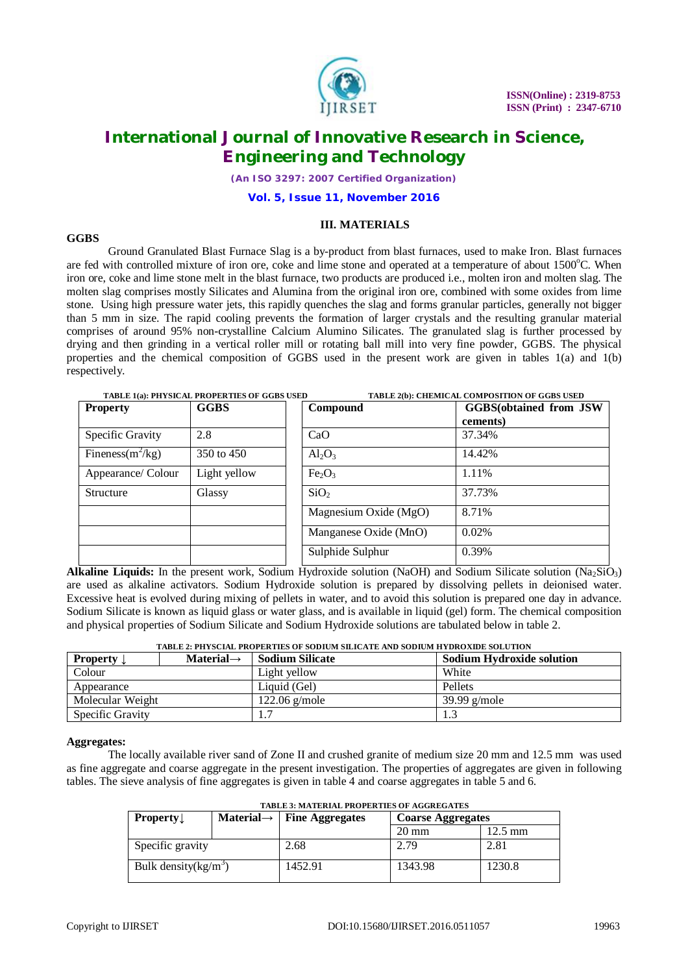

*(An ISO 3297: 2007 Certified Organization)*

**Vol. 5, Issue 11, November 2016**

### **III. MATERIALS**

### **GGBS**

Ground Granulated Blast Furnace Slag is a by-product from blast furnaces, used to make Iron. Blast furnaces are fed with controlled mixture of iron ore, coke and lime stone and operated at a temperature of about 1500°C. When iron ore, coke and lime stone melt in the blast furnace, two products are produced i.e., molten iron and molten slag. The molten slag comprises mostly Silicates and Alumina from the original iron ore, combined with some oxides from lime stone. Using high pressure water jets, this rapidly quenches the slag and forms granular particles, generally not bigger than 5 mm in size. The rapid cooling prevents the formation of larger crystals and the resulting granular material comprises of around 95% non-crystalline Calcium Alumino Silicates. The granulated slag is further processed by drying and then grinding in a vertical roller mill or rotating ball mill into very fine powder, GGBS. The physical properties and the chemical composition of GGBS used in the present work are given in tables 1(a) and 1(b) respectively.

|                     | TABLE 1(a): PHYSICAL PROPERTIES OF GGBS USED<br>TABLE 2(b): CHEMICAL COMPOSITION OF GGBS USED |                                |                                |  |
|---------------------|-----------------------------------------------------------------------------------------------|--------------------------------|--------------------------------|--|
| <b>Property</b>     | <b>GGBS</b>                                                                                   | Compound                       | <b>GGBS</b> (obtained from JSW |  |
|                     |                                                                                               |                                | cements)                       |  |
| Specific Gravity    | 2.8                                                                                           | CaO                            | 37.34%                         |  |
| Fineness $(m^2/kg)$ | 350 to 450                                                                                    | $Al_2O_3$                      | 14.42%                         |  |
| Appearance/ Colour  | Light yellow                                                                                  | Fe <sub>2</sub> O <sub>3</sub> | 1.11%                          |  |
| <b>Structure</b>    | Glassy                                                                                        | SiO <sub>2</sub>               | 37.73%                         |  |
|                     |                                                                                               | Magnesium Oxide (MgO)          | 8.71%                          |  |
|                     |                                                                                               | Manganese Oxide (MnO)          | 0.02%                          |  |
|                     |                                                                                               | Sulphide Sulphur               | 0.39%                          |  |

**Alkaline Liquids:** In the present work, Sodium Hydroxide solution (NaOH) and Sodium Silicate solution (Na<sub>2</sub>SiO<sub>3</sub>) are used as alkaline activators. Sodium Hydroxide solution is prepared by dissolving pellets in deionised water. Excessive heat is evolved during mixing of pellets in water, and to avoid this solution is prepared one day in advance. Sodium Silicate is known as liquid glass or water glass, and is available in liquid (gel) form. The chemical composition and physical properties of Sodium Silicate and Sodium Hydroxide solutions are tabulated below in table 2.

| TABLE 2: PHYSCIAL PROPERTIES OF SODIUM SILICATE AND SODIUM HYDROXIDE SOLUTION |                        |                 |                                  |  |
|-------------------------------------------------------------------------------|------------------------|-----------------|----------------------------------|--|
| <b>Property</b>                                                               | Material $\rightarrow$ | Sodium Silicate | <b>Sodium Hydroxide solution</b> |  |
| Colour                                                                        |                        | Light vellow    | White                            |  |
| Appearance                                                                    |                        | Liquid (Gel)    | Pellets                          |  |
| Molecular Weight                                                              |                        | $122.06$ g/mole | $39.99$ g/mole                   |  |
| Specific Gravity                                                              |                        | 1.7             | 1.3                              |  |

### **Aggregates:**

The locally available river sand of Zone II and crushed granite of medium size 20 mm and 12.5 mm was used as fine aggregate and coarse aggregate in the present investigation. The properties of aggregates are given in following tables. The sieve analysis of fine aggregates is given in table 4 and coarse aggregates in table 5 and 6.

| <b>Property</b>         |  | Material $\rightarrow$   Fine Aggregates | <b>Coarse Aggregates</b> |         |
|-------------------------|--|------------------------------------------|--------------------------|---------|
|                         |  |                                          | $20 \text{ mm}$          | 12.5 mm |
| Specific gravity        |  | 2.68                                     | 2.79                     | 2.81    |
| Bulk density $(kg/m^3)$ |  | 1452.91                                  | 1343.98                  | 1230.8  |

**TABLE 3: MATERIAL PROPERTIES OF AGGREGATES**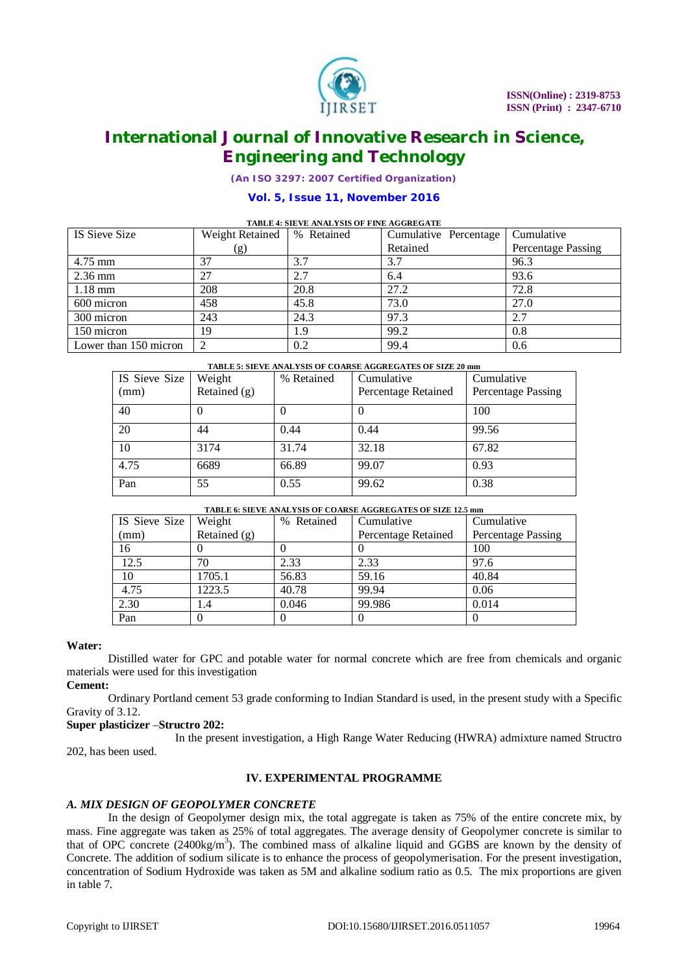

*(An ISO 3297: 2007 Certified Organization)*

### **Vol. 5, Issue 11, November 2016**

#### **TABLE 4: SIEVE ANALYSIS OF FINE AGGREGATE**

| IS Sieve Size         | Weight Retained | % Retained | Cumulative Percentage | Cumulative                |
|-----------------------|-----------------|------------|-----------------------|---------------------------|
|                       | (g)             |            | Retained              | <b>Percentage Passing</b> |
| 4.75 mm               | 37              | 3.7        | 3.7                   | 96.3                      |
| $2.36$ mm             | 27              | 2.7        | 6.4                   | 93.6                      |
| $1.18 \text{ mm}$     | 208             | 20.8       | 27.2                  | 72.8                      |
| 600 micron            | 458             | 45.8       | 73.0                  | 27.0                      |
| 300 micron            | 243             | 24.3       | 97.3                  | 2.7                       |
| 150 micron            | 19              | 1.9        | 99.2                  | 0.8                       |
| Lower than 150 micron | $\overline{c}$  | 0.2        | 99.4                  | 0.6                       |

**TABLE 5: SIEVE ANALYSIS OF COARSE AGGREGATES OF SIZE 20 mm**

| IS Sieve Size | Weight         | % Retained | Cumulative          | Cumulative         |
|---------------|----------------|------------|---------------------|--------------------|
| (mm)          | Retained $(g)$ |            | Percentage Retained | Percentage Passing |
| 40            |                |            |                     | 100                |
| 20            | 44             | 0.44       | 0.44                | 99.56              |
| 10            | 3174           | 31.74      | 32.18               | 67.82              |
| 4.75          | 6689           | 66.89      | 99.07               | 0.93               |
| Pan           | 55             | 0.55       | 99.62               | 0.38               |

#### **TABLE 6: SIEVE ANALYSIS OF COARSE AGGREGATES OF SIZE 12.5 mm**

| IS Sieve Size | Weight         | % Retained | Cumulative          | Cumulative         |
|---------------|----------------|------------|---------------------|--------------------|
| (mm)          | Retained $(g)$ |            | Percentage Retained | Percentage Passing |
| 16            |                |            |                     | 100                |
| 12.5          | 70             | 2.33       | 2.33                | 97.6               |
| 10            | 1705.1         | 56.83      | 59.16               | 40.84              |
| 4.75          | 1223.5         | 40.78      | 99.94               | 0.06               |
| 2.30          | 1.4            | 0.046      | 99.986              | 0.014              |
| Pan           |                |            |                     |                    |

#### **Water:**

Distilled water for GPC and potable water for normal concrete which are free from chemicals and organic materials were used for this investigation

**Cement:**

Ordinary Portland cement 53 grade conforming to Indian Standard is used, in the present study with a Specific Gravity of 3.12.

#### **Super plasticizer** –**Structro 202:**

In the present investigation, a High Range Water Reducing (HWRA) admixture named Structro 202, has been used.

#### **IV. EXPERIMENTAL PROGRAMME**

#### *A. MIX DESIGN OF GEOPOLYMER CONCRETE*

In the design of Geopolymer design mix, the total aggregate is taken as 75% of the entire concrete mix, by mass. Fine aggregate was taken as 25% of total aggregates. The average density of Geopolymer concrete is similar to that of OPC concrete  $(2400\text{kg/m}^3)$ . The combined mass of alkaline liquid and GGBS are known by the density of Concrete. The addition of sodium silicate is to enhance the process of geopolymerisation. For the present investigation, concentration of Sodium Hydroxide was taken as 5M and alkaline sodium ratio as 0.5. The mix proportions are given in table 7.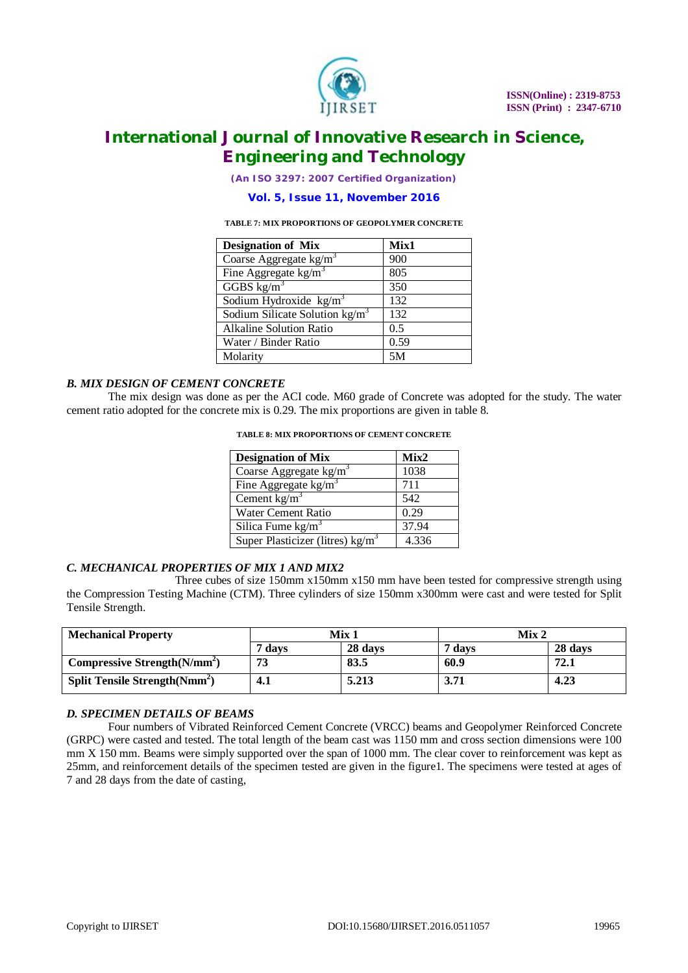

*(An ISO 3297: 2007 Certified Organization)*

### **Vol. 5, Issue 11, November 2016**

#### **TABLE 7: MIX PROPORTIONS OF GEOPOLYMER CONCRETE**

| <b>Designation of Mix</b>        | Mix1 |
|----------------------------------|------|
| Coarse Aggregate $kg/m3$         | 900  |
| Fine Aggregate $\text{kg/m}^3$   | 805  |
| GGBS $\text{kg/m}^3$             | 350  |
| Sodium Hydroxide $kg/m3$         | 132  |
| Sodium Silicate Solution $kg/m3$ | 132  |
| <b>Alkaline Solution Ratio</b>   | 0.5  |
| Water / Binder Ratio             | 0.59 |
| Molarity                         | 5M   |

### *B. MIX DESIGN OF CEMENT CONCRETE*

The mix design was done as per the ACI code. M60 grade of Concrete was adopted for the study. The water cement ratio adopted for the concrete mix is 0.29. The mix proportions are given in table 8.

| <b>Designation of Mix</b>                  | Mix2  |
|--------------------------------------------|-------|
| Coarse Aggregate $\text{kg/m}^3$           | 1038  |
| Fine Aggregate $\text{kg/m}^3$             | 711   |
| Cement $kg/m3$                             | 542   |
| Water Cement Ratio                         | 0.29  |
| Silica Fume $kg/m3$                        | 37.94 |
| Super Plasticizer (litres) $\text{kg/m}^3$ | 4.336 |

**TABLE 8: MIX PROPORTIONS OF CEMENT CONCRETE**

### *C. MECHANICAL PROPERTIES OF MIX 1 AND MIX2*

Three cubes of size 150mm x150mm x150 mm have been tested for compressive strength using the Compression Testing Machine (CTM). Three cylinders of size 150mm x300mm were cast and were tested for Split Tensile Strength.

| <b>Mechanical Property</b>                      | Mix 1      |         | Mix 2  |         |
|-------------------------------------------------|------------|---------|--------|---------|
|                                                 | 7 davs     | 28 days | 7 davs | 28 days |
| Compressive Strength $(N/mm2)$                  | 73         | 83.5    | 60.9   | 72.1    |
| <b>Split Tensile Strength (Nmm<sup>2</sup>)</b> | <b>4.1</b> | 5.213   | 3.71   | 4.23    |

#### *D. SPECIMEN DETAILS OF BEAMS*

Four numbers of Vibrated Reinforced Cement Concrete (VRCC) beams and Geopolymer Reinforced Concrete (GRPC) were casted and tested. The total length of the beam cast was 1150 mm and cross section dimensions were 100 mm X 150 mm. Beams were simply supported over the span of 1000 mm. The clear cover to reinforcement was kept as 25mm, and reinforcement details of the specimen tested are given in the figure1. The specimens were tested at ages of 7 and 28 days from the date of casting,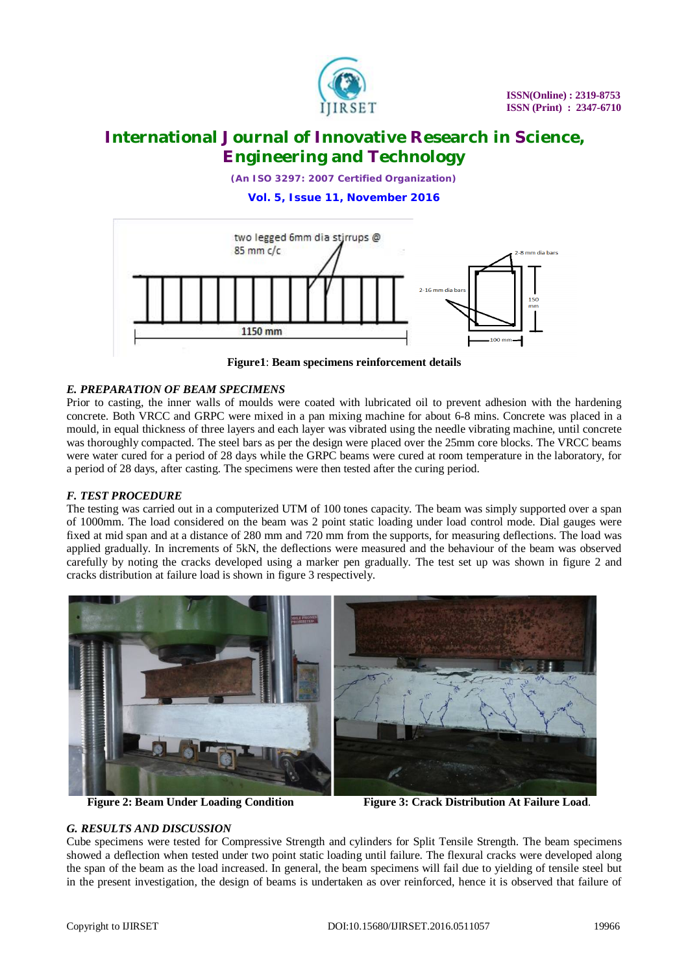

*(An ISO 3297: 2007 Certified Organization)*

**Vol. 5, Issue 11, November 2016**



**Figure1**: **Beam specimens reinforcement details**

### *E. PREPARATION OF BEAM SPECIMENS*

Prior to casting, the inner walls of moulds were coated with lubricated oil to prevent adhesion with the hardening concrete. Both VRCC and GRPC were mixed in a pan mixing machine for about 6-8 mins. Concrete was placed in a mould, in equal thickness of three layers and each layer was vibrated using the needle vibrating machine, until concrete was thoroughly compacted. The steel bars as per the design were placed over the 25mm core blocks. The VRCC beams were water cured for a period of 28 days while the GRPC beams were cured at room temperature in the laboratory, for a period of 28 days, after casting. The specimens were then tested after the curing period.

# *F. TEST PROCEDURE*

The testing was carried out in a computerized UTM of 100 tones capacity. The beam was simply supported over a span of 1000mm. The load considered on the beam was 2 point static loading under load control mode. Dial gauges were fixed at mid span and at a distance of 280 mm and 720 mm from the supports, for measuring deflections. The load was applied gradually. In increments of 5kN, the deflections were measured and the behaviour of the beam was observed carefully by noting the cracks developed using a marker pen gradually. The test set up was shown in figure 2 and cracks distribution at failure load is shown in figure 3 respectively.



**Figure 2: Beam Under Loading Condition Figure 3: Crack Distribution At Failure Load.** 

### *G. RESULTS AND DISCUSSION*

Cube specimens were tested for Compressive Strength and cylinders for Split Tensile Strength. The beam specimens showed a deflection when tested under two point static loading until failure. The flexural cracks were developed along the span of the beam as the load increased. In general, the beam specimens will fail due to yielding of tensile steel but in the present investigation, the design of beams is undertaken as over reinforced, hence it is observed that failure of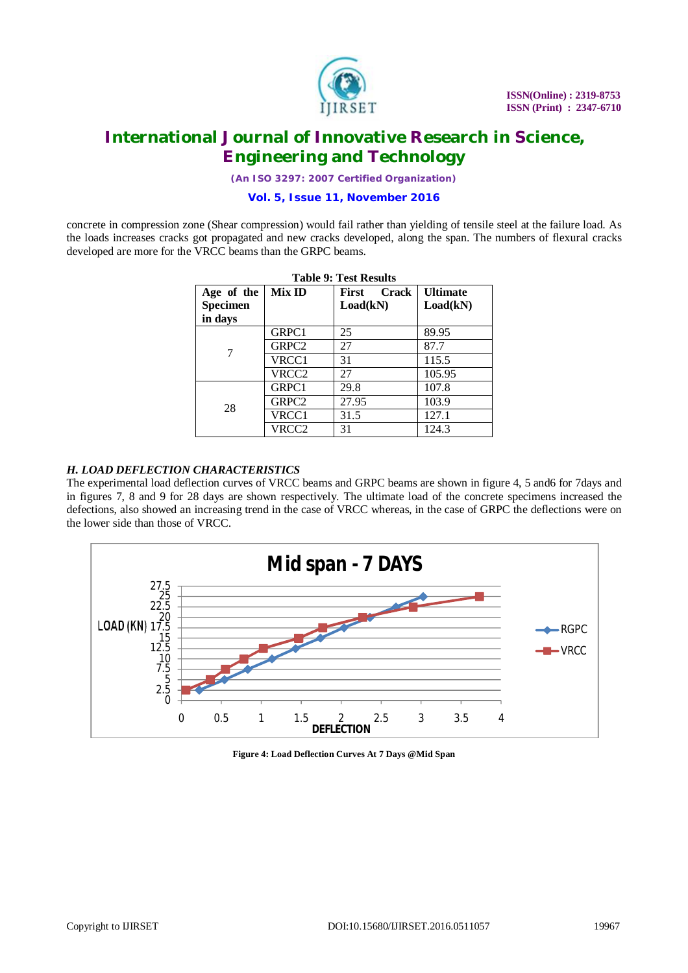

*(An ISO 3297: 2007 Certified Organization)*

**Vol. 5, Issue 11, November 2016**

concrete in compression zone (Shear compression) would fail rather than yielding of tensile steel at the failure load. As the loads increases cracks got propagated and new cracks developed, along the span. The numbers of flexural cracks developed are more for the VRCC beams than the GRPC beams.

| Age of the                 | Mix ID            | <b>Crack</b><br>First | <b>Ultimate</b> |
|----------------------------|-------------------|-----------------------|-----------------|
| <b>Specimen</b><br>in days |                   | Load(kN)              | Load(kN)        |
|                            | GRPC1             | 25                    | 89.95           |
|                            | GRPC <sub>2</sub> | 27                    | 87.7            |
|                            | VRCC1             | 31                    | 115.5           |
|                            | VRCC2             | 27                    | 105.95          |
|                            | GRPC1             | 29.8                  | 107.8           |
| 28                         | GRPC2             | 27.95                 | 103.9           |
|                            | VRCC1             | 31.5                  | 127.1           |
|                            | VRCC2             | 31                    | 124.3           |

|  |  |  | <b>Table 9: Test Results</b> |
|--|--|--|------------------------------|
|--|--|--|------------------------------|

### *H. LOAD DEFLECTION CHARACTERISTICS*

The experimental load deflection curves of VRCC beams and GRPC beams are shown in figure 4, 5 and6 for 7days and in figures 7, 8 and 9 for 28 days are shown respectively. The ultimate load of the concrete specimens increased the defections, also showed an increasing trend in the case of VRCC whereas, in the case of GRPC the deflections were on the lower side than those of VRCC.



**Figure 4: Load Deflection Curves At 7 Days @Mid Span**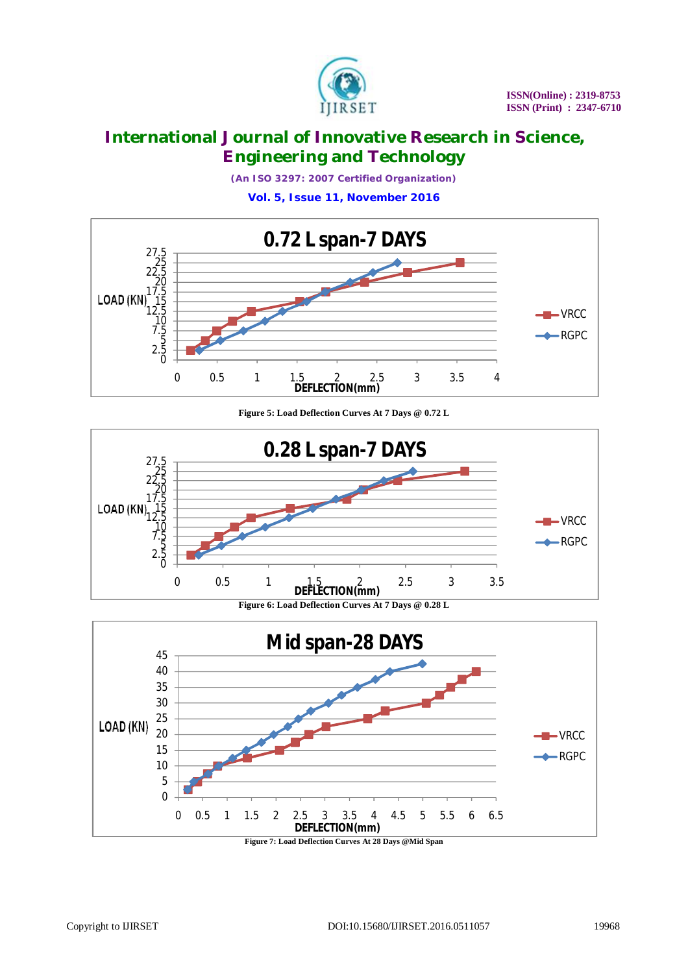

*(An ISO 3297: 2007 Certified Organization)*

**Vol. 5, Issue 11, November 2016**



**Figure 5: Load Deflection Curves At 7 Days @ 0.72 L**



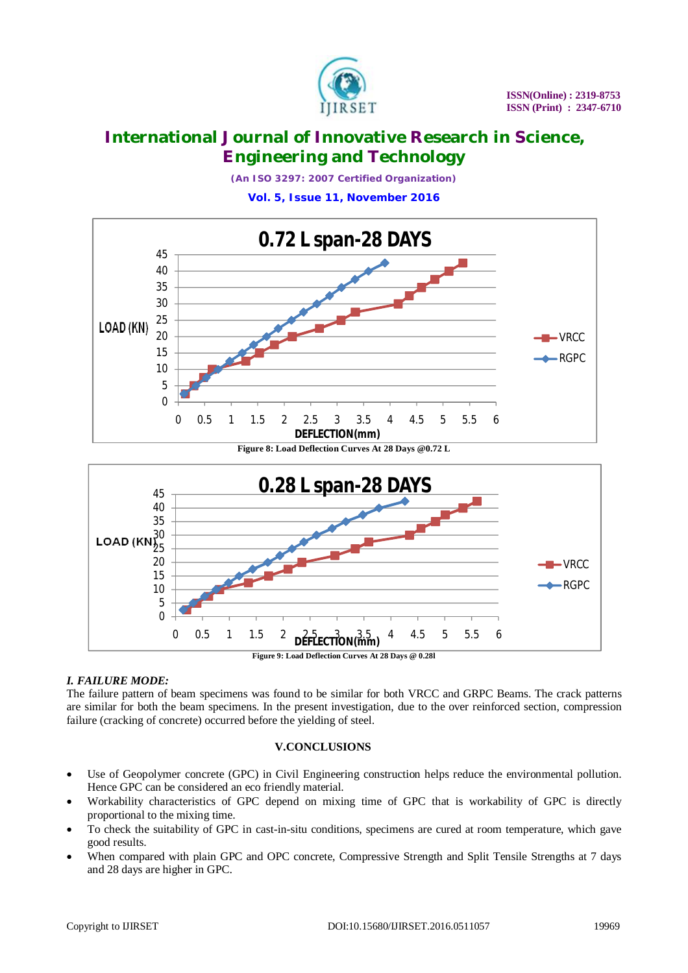

*(An ISO 3297: 2007 Certified Organization)*

**Vol. 5, Issue 11, November 2016**





# *I. FAILURE MODE:*

The failure pattern of beam specimens was found to be similar for both VRCC and GRPC Beams. The crack patterns are similar for both the beam specimens. In the present investigation, due to the over reinforced section, compression failure (cracking of concrete) occurred before the yielding of steel.

# **V.CONCLUSIONS**

- Use of Geopolymer concrete (GPC) in Civil Engineering construction helps reduce the environmental pollution. Hence GPC can be considered an eco friendly material.
- Workability characteristics of GPC depend on mixing time of GPC that is workability of GPC is directly proportional to the mixing time.
- To check the suitability of GPC in cast-in-situ conditions, specimens are cured at room temperature, which gave good results.
- When compared with plain GPC and OPC concrete, Compressive Strength and Split Tensile Strengths at 7 days and 28 days are higher in GPC.